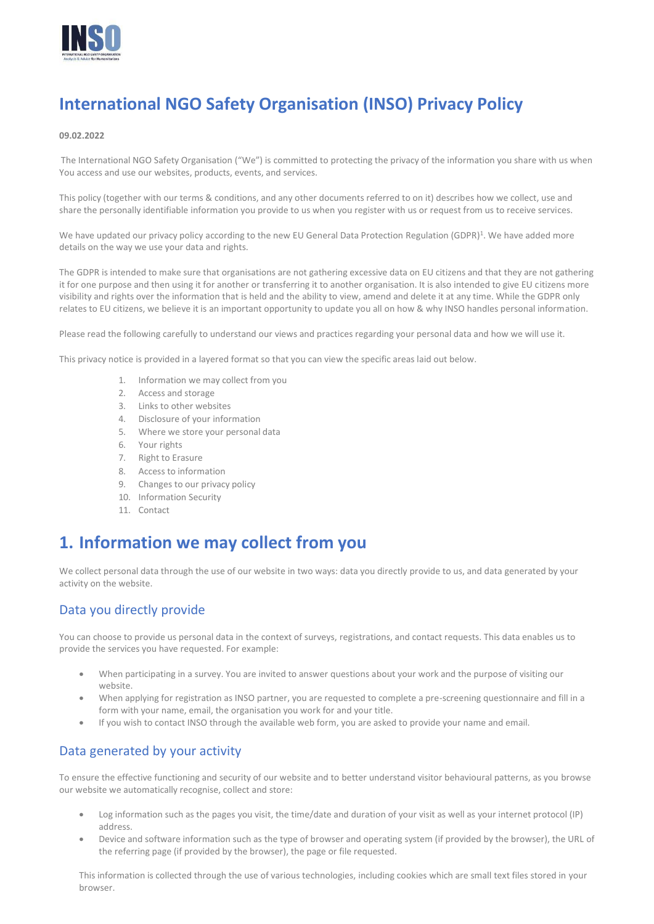

# **International NGO Safety Organisation (INSO) Privacy Policy**

#### **09.02.2022**

 The International NGO Safety Organisation ("We") is committed to protecting the privacy of the information you share with us when You access and use our websites, products, events, and services.

This policy (together with our terms & conditions, and any other documents referred to on it) describes how we collect, use and share the personally identifiable information you provide to us when you register with us or request from us to receive services.

We have updated our privacy policy according to the new EU General Data Protection Regulation (GDPR)<sup>1</sup>. We have added more details on the way we use your data and rights.

The GDPR is intended to make sure that organisations are not gathering excessive data on EU citizens and that they are not gathering it for one purpose and then using it for another or transferring it to another organisation. It is also intended to give EU citizens more visibility and rights over the information that is held and the ability to view, amend and delete it at any time. While the GDPR only relates to EU citizens, we believe it is an important opportunity to update you all on how & why INSO handles personal information.

Please read the following carefully to understand our views and practices regarding your personal data and how we will use it.

This privacy notice is provided in a layered format so that you can view the specific areas laid out below.

- 1. Information we may collect from you
- 2. Access and storage
- 3. Links to other websites
- 4. Disclosure of your information
- 5. Where we store your personal data
- 6. Your rights
- 7. Right to Erasure
- 8. Access to information
- 9. Changes to our privacy policy
- 10. Information Security
- 11. Contact

### **1. Information we may collect from you**

We collect personal data through the use of our website in two ways: data you directly provide to us, and data generated by your activity on the website.

#### Data you directly provide

You can choose to provide us personal data in the context of surveys, registrations, and contact requests. This data enables us to provide the services you have requested. For example:

- When participating in a survey. You are invited to answer questions about your work and the purpose of visiting our website.
- When applying for registration as INSO partner, you are requested to complete a pre-screening questionnaire and fill in a form with your name, email, the organisation you work for and your title.
- If you wish to contact INSO through the available web form, you are asked to provide your name and email.

#### Data generated by your activity

To ensure the effective functioning and security of our website and to better understand visitor behavioural patterns, as you browse our website we automatically recognise, collect and store:

- Log information such as the pages you visit, the time/date and duration of your visit as well as your internet protocol (IP) address.
- Device and software information such as the type of browser and operating system (if provided by the browser), the URL of the referring page (if provided by the browser), the page or file requested.

This information is collected through the use of various technologies, including cookies which are small text files stored in your browser.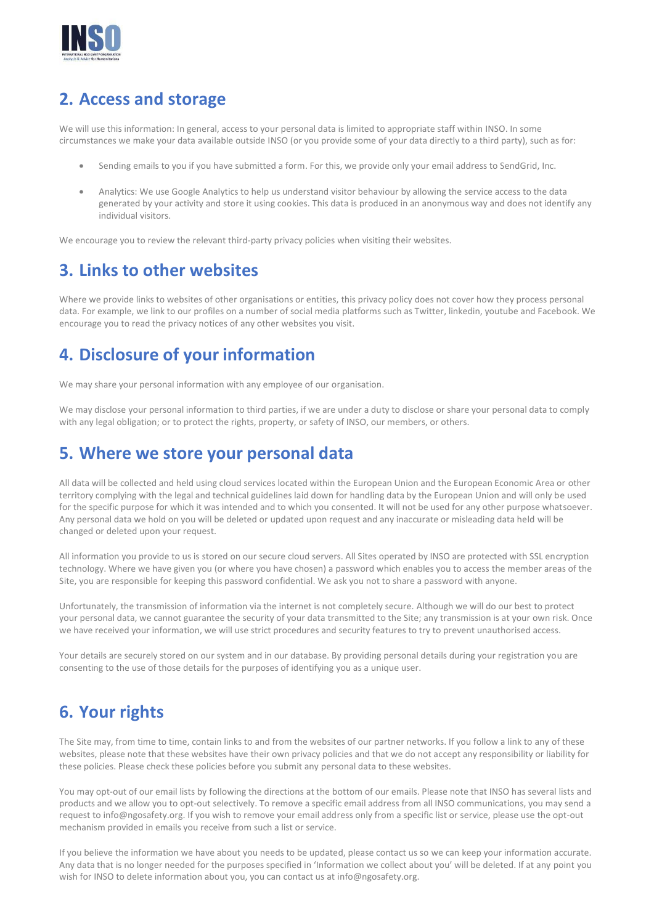

## **2. Access and storage**

We will use this information: In general, access to your personal data is limited to appropriate staff within INSO. In some circumstances we make your data available outside INSO (or you provide some of your data directly to a third party), such as for:

- Sending emails to you if you have submitted a form. For this, we provide only your email address to SendGrid, Inc.
- Analytics: We use Google Analytics to help us understand visitor behaviour by allowing the service access to the data generated by your activity and store it using cookies. This data is produced in an anonymous way and does not identify any individual visitors.

We encourage you to review the relevant third-party privacy policies when visiting their websites.

## **3. Links to other websites**

Where we provide links to websites of other organisations or entities, this privacy policy does not cover how they process personal data. For example, we link to our profiles on a number of social media platforms such as Twitter, linkedin, youtube and Facebook. We encourage you to read the privacy notices of any other websites you visit.

## **4. Disclosure of your information**

We may share your personal information with any employee of our organisation.

We may disclose your personal information to third parties, if we are under a duty to disclose or share your personal data to comply with any legal obligation; or to protect the rights, property, or safety of INSO, our members, or others.

### **5. Where we store your personal data**

All data will be collected and held using cloud services located within the European Union and the European Economic Area or other territory complying with the legal and technical guidelines laid down for handling data by the European Union and will only be used for the specific purpose for which it was intended and to which you consented. It will not be used for any other purpose whatsoever. Any personal data we hold on you will be deleted or updated upon request and any inaccurate or misleading data held will be changed or deleted upon your request.

All information you provide to us is stored on our secure cloud servers. All Sites operated by INSO are protected with SSL encryption technology. Where we have given you (or where you have chosen) a password which enables you to access the member areas of the Site, you are responsible for keeping this password confidential. We ask you not to share a password with anyone.

Unfortunately, the transmission of information via the internet is not completely secure. Although we will do our best to protect your personal data, we cannot guarantee the security of your data transmitted to the Site; any transmission is at your own risk. Once we have received your information, we will use strict procedures and security features to try to prevent unauthorised access.

Your details are securely stored on our system and in our database. By providing personal details during your registration you are consenting to the use of those details for the purposes of identifying you as a unique user.

## **6. Your rights**

The Site may, from time to time, contain links to and from the websites of our partner networks. If you follow a link to any of these websites, please note that these websites have their own privacy policies and that we do not accept any responsibility or liability for these policies. Please check these policies before you submit any personal data to these websites.

You may opt-out of our email lists by following the directions at the bottom of our emails. Please note that INSO has several lists and products and we allow you to opt-out selectively. To remove a specific email address from all INSO communications, you may send a request t[o info@ngosafety.org. I](mailto:info@ngosafety.org)f you wish to remove your email address only from a specific list or service, please use the opt-out mechanism provided in emails you receive from such a list or service.

If you believe the information we have about you needs to be updated, please contact us so we can keep your information accurate. Any data that is no longer needed for the purposes specified in 'Information we collect about you' will be deleted. If at any point you wish for INSO to delete information about you, you can contact us a[t info@ngosafety.org.](mailto:info@ngosafety.org)